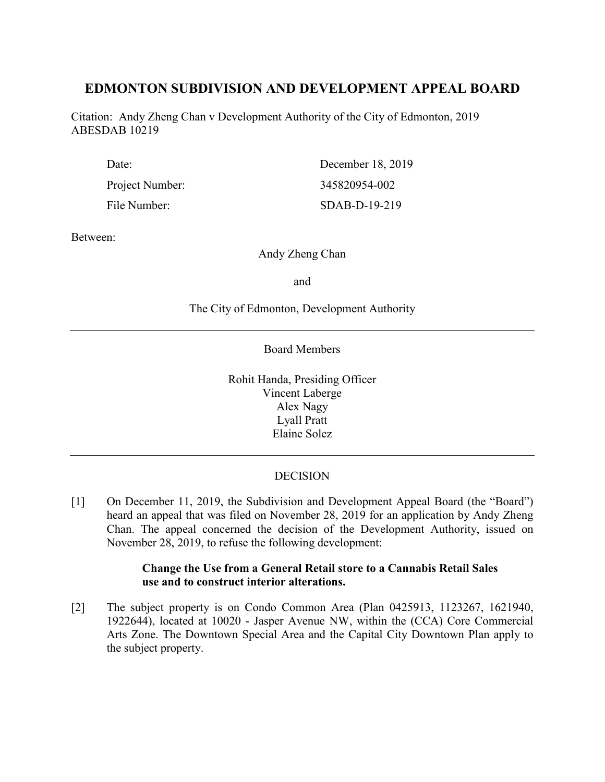# **EDMONTON SUBDIVISION AND DEVELOPMENT APPEAL BOARD**

Citation: Andy Zheng Chan v Development Authority of the City of Edmonton, 2019 ABESDAB 10219

| Date:           | December 18, 2019 |
|-----------------|-------------------|
| Project Number: | 345820954-002     |
| File Number:    | $SDAB-D-19-219$   |

Between:

Andy Zheng Chan

and

The City of Edmonton, Development Authority

Board Members

Rohit Handa, Presiding Officer Vincent Laberge Alex Nagy Lyall Pratt Elaine Solez

# **DECISION**

[1] On December 11, 2019, the Subdivision and Development Appeal Board (the "Board") heard an appeal that was filed on November 28, 2019 for an application by Andy Zheng Chan. The appeal concerned the decision of the Development Authority, issued on November 28, 2019, to refuse the following development:

## **Change the Use from a General Retail store to a Cannabis Retail Sales use and to construct interior alterations.**

[2] The subject property is on Condo Common Area (Plan 0425913, 1123267, 1621940, 1922644), located at 10020 - Jasper Avenue NW, within the (CCA) Core Commercial Arts Zone. The Downtown Special Area and the Capital City Downtown Plan apply to the subject property.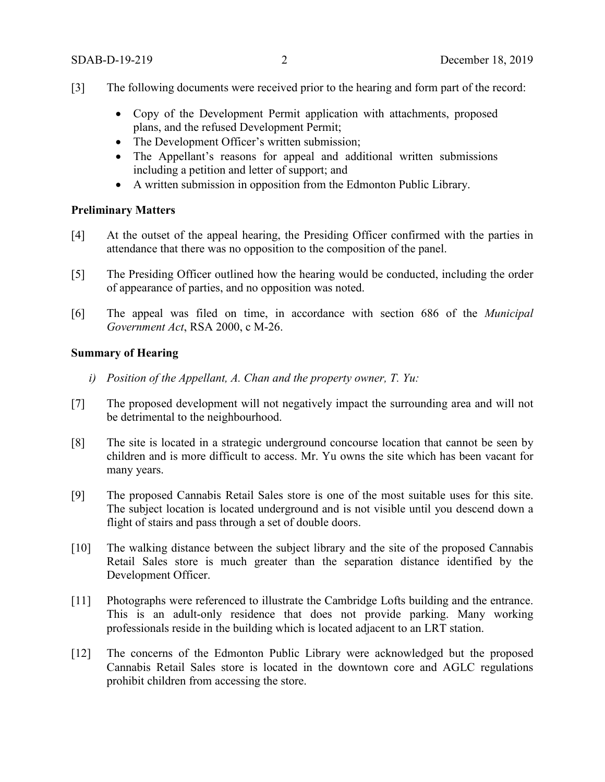- [3] The following documents were received prior to the hearing and form part of the record:
	- Copy of the Development Permit application with attachments, proposed plans, and the refused Development Permit;
	- The Development Officer's written submission;
	- The Appellant's reasons for appeal and additional written submissions including a petition and letter of support; and
	- A written submission in opposition from the Edmonton Public Library.

#### **Preliminary Matters**

- [4] At the outset of the appeal hearing, the Presiding Officer confirmed with the parties in attendance that there was no opposition to the composition of the panel.
- [5] The Presiding Officer outlined how the hearing would be conducted, including the order of appearance of parties, and no opposition was noted.
- [6] The appeal was filed on time, in accordance with section 686 of the *Municipal Government Act*, RSA 2000, c M-26.

# **Summary of Hearing**

- *i) Position of the Appellant, A. Chan and the property owner, T. Yu:*
- [7] The proposed development will not negatively impact the surrounding area and will not be detrimental to the neighbourhood.
- [8] The site is located in a strategic underground concourse location that cannot be seen by children and is more difficult to access. Mr. Yu owns the site which has been vacant for many years.
- [9] The proposed Cannabis Retail Sales store is one of the most suitable uses for this site. The subject location is located underground and is not visible until you descend down a flight of stairs and pass through a set of double doors.
- [10] The walking distance between the subject library and the site of the proposed Cannabis Retail Sales store is much greater than the separation distance identified by the Development Officer.
- [11] Photographs were referenced to illustrate the Cambridge Lofts building and the entrance. This is an adult-only residence that does not provide parking. Many working professionals reside in the building which is located adjacent to an LRT station.
- [12] The concerns of the Edmonton Public Library were acknowledged but the proposed Cannabis Retail Sales store is located in the downtown core and AGLC regulations prohibit children from accessing the store.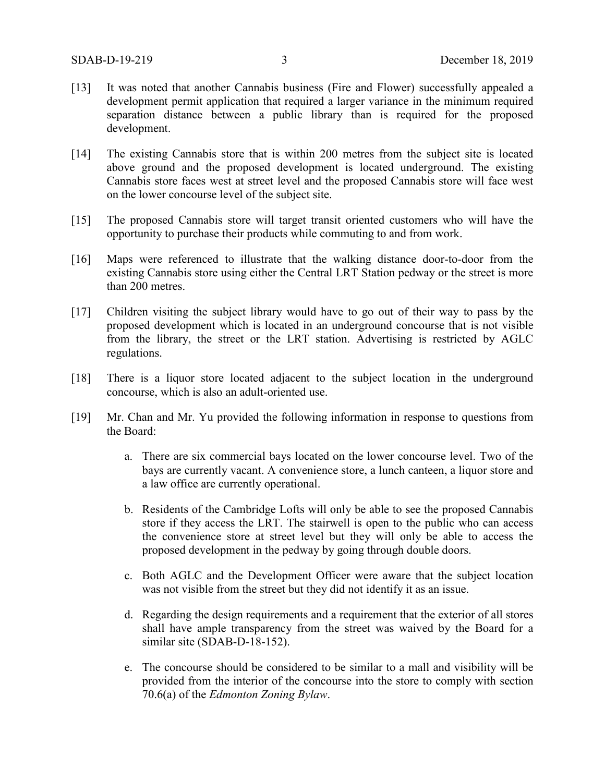- [13] It was noted that another Cannabis business (Fire and Flower) successfully appealed a development permit application that required a larger variance in the minimum required separation distance between a public library than is required for the proposed development.
- [14] The existing Cannabis store that is within 200 metres from the subject site is located above ground and the proposed development is located underground. The existing Cannabis store faces west at street level and the proposed Cannabis store will face west on the lower concourse level of the subject site.
- [15] The proposed Cannabis store will target transit oriented customers who will have the opportunity to purchase their products while commuting to and from work.
- [16] Maps were referenced to illustrate that the walking distance door-to-door from the existing Cannabis store using either the Central LRT Station pedway or the street is more than 200 metres.
- [17] Children visiting the subject library would have to go out of their way to pass by the proposed development which is located in an underground concourse that is not visible from the library, the street or the LRT station. Advertising is restricted by AGLC regulations.
- [18] There is a liquor store located adjacent to the subject location in the underground concourse, which is also an adult-oriented use.
- [19] Mr. Chan and Mr. Yu provided the following information in response to questions from the Board:
	- a. There are six commercial bays located on the lower concourse level. Two of the bays are currently vacant. A convenience store, a lunch canteen, a liquor store and a law office are currently operational.
	- b. Residents of the Cambridge Lofts will only be able to see the proposed Cannabis store if they access the LRT. The stairwell is open to the public who can access the convenience store at street level but they will only be able to access the proposed development in the pedway by going through double doors.
	- c. Both AGLC and the Development Officer were aware that the subject location was not visible from the street but they did not identify it as an issue.
	- d. Regarding the design requirements and a requirement that the exterior of all stores shall have ample transparency from the street was waived by the Board for a similar site (SDAB-D-18-152).
	- e. The concourse should be considered to be similar to a mall and visibility will be provided from the interior of the concourse into the store to comply with section 70.6(a) of the *Edmonton Zoning Bylaw*.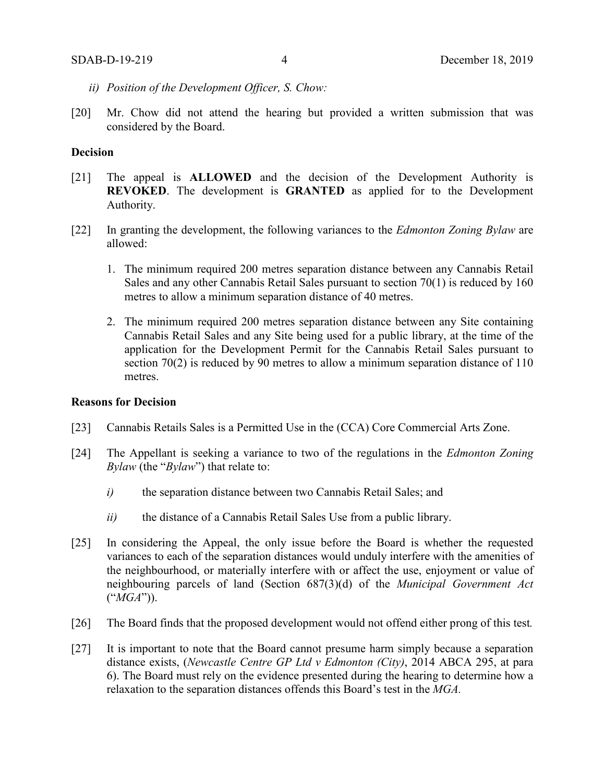- *ii) Position of the Development Officer, S. Chow:*
- [20] Mr. Chow did not attend the hearing but provided a written submission that was considered by the Board.

# **Decision**

- [21] The appeal is **ALLOWED** and the decision of the Development Authority is **REVOKED**. The development is **GRANTED** as applied for to the Development Authority.
- [22] In granting the development, the following variances to the *Edmonton Zoning Bylaw* are allowed:
	- 1. The minimum required 200 metres separation distance between any Cannabis Retail Sales and any other Cannabis Retail Sales pursuant to section 70(1) is reduced by 160 metres to allow a minimum separation distance of 40 metres.
	- 2. The minimum required 200 metres separation distance between any Site containing Cannabis Retail Sales and any Site being used for a public library, at the time of the application for the Development Permit for the Cannabis Retail Sales pursuant to section 70(2) is reduced by 90 metres to allow a minimum separation distance of 110 metres.

#### **Reasons for Decision**

- [23] Cannabis Retails Sales is a Permitted Use in the (CCA) Core Commercial Arts Zone.
- [24] The Appellant is seeking a variance to two of the regulations in the *Edmonton Zoning Bylaw* (the "*Bylaw*") that relate to:
	- *i)* the separation distance between two Cannabis Retail Sales; and
	- *ii)* the distance of a Cannabis Retail Sales Use from a public library.
- [25] In considering the Appeal, the only issue before the Board is whether the requested variances to each of the separation distances would unduly interfere with the amenities of the neighbourhood, or materially interfere with or affect the use, enjoyment or value of neighbouring parcels of land (Section 687(3)(d) of the *Municipal Government Act*  ("*MGA*")).
- [26] The Board finds that the proposed development would not offend either prong of this test*.*
- [27] It is important to note that the Board cannot presume harm simply because a separation distance exists, (*Newcastle Centre GP Ltd v Edmonton (City)*, 2014 ABCA 295, at para 6). The Board must rely on the evidence presented during the hearing to determine how a relaxation to the separation distances offends this Board's test in the *MGA.*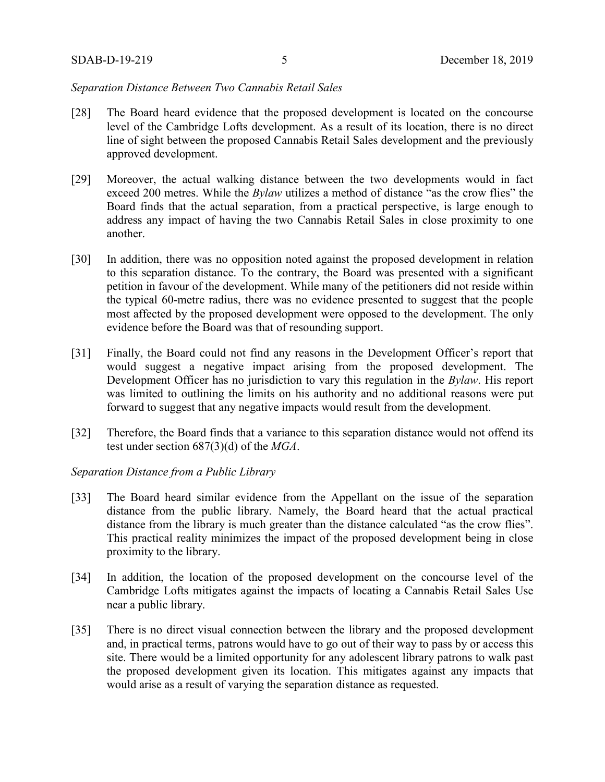### *Separation Distance Between Two Cannabis Retail Sales*

- [28] The Board heard evidence that the proposed development is located on the concourse level of the Cambridge Lofts development. As a result of its location, there is no direct line of sight between the proposed Cannabis Retail Sales development and the previously approved development.
- [29] Moreover, the actual walking distance between the two developments would in fact exceed 200 metres. While the *Bylaw* utilizes a method of distance "as the crow flies" the Board finds that the actual separation, from a practical perspective, is large enough to address any impact of having the two Cannabis Retail Sales in close proximity to one another.
- [30] In addition, there was no opposition noted against the proposed development in relation to this separation distance. To the contrary, the Board was presented with a significant petition in favour of the development. While many of the petitioners did not reside within the typical 60-metre radius, there was no evidence presented to suggest that the people most affected by the proposed development were opposed to the development. The only evidence before the Board was that of resounding support.
- [31] Finally, the Board could not find any reasons in the Development Officer's report that would suggest a negative impact arising from the proposed development. The Development Officer has no jurisdiction to vary this regulation in the *Bylaw*. His report was limited to outlining the limits on his authority and no additional reasons were put forward to suggest that any negative impacts would result from the development.
- [32] Therefore, the Board finds that a variance to this separation distance would not offend its test under section 687(3)(d) of the *MGA*.

## *Separation Distance from a Public Library*

- [33] The Board heard similar evidence from the Appellant on the issue of the separation distance from the public library. Namely, the Board heard that the actual practical distance from the library is much greater than the distance calculated "as the crow flies". This practical reality minimizes the impact of the proposed development being in close proximity to the library.
- [34] In addition, the location of the proposed development on the concourse level of the Cambridge Lofts mitigates against the impacts of locating a Cannabis Retail Sales Use near a public library.
- [35] There is no direct visual connection between the library and the proposed development and, in practical terms, patrons would have to go out of their way to pass by or access this site. There would be a limited opportunity for any adolescent library patrons to walk past the proposed development given its location. This mitigates against any impacts that would arise as a result of varying the separation distance as requested.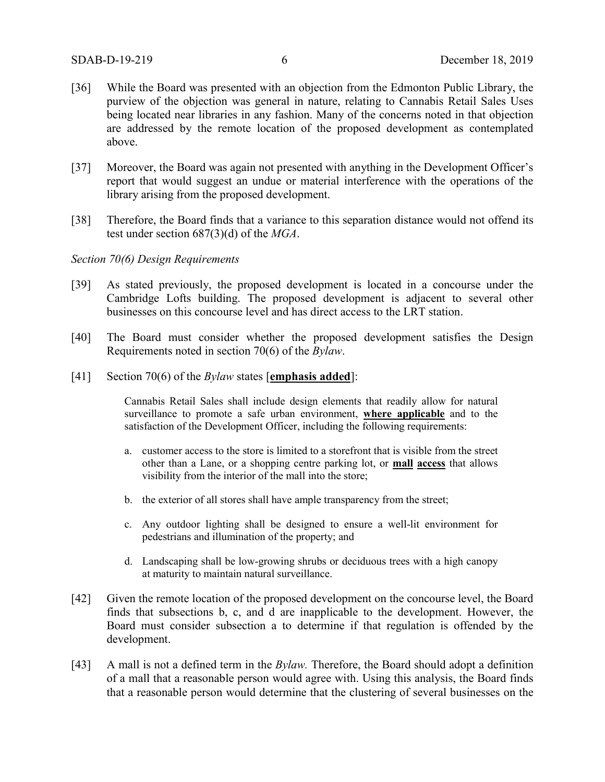- [36] While the Board was presented with an objection from the Edmonton Public Library, the purview of the objection was general in nature, relating to Cannabis Retail Sales Uses being located near libraries in any fashion. Many of the concerns noted in that objection are addressed by the remote location of the proposed development as contemplated above.
- [37] Moreover, the Board was again not presented with anything in the Development Officer's report that would suggest an undue or material interference with the operations of the library arising from the proposed development.
- [38] Therefore, the Board finds that a variance to this separation distance would not offend its test under section 687(3)(d) of the *MGA*.

#### *Section 70(6) Design Requirements*

- [39] As stated previously, the proposed development is located in a concourse under the Cambridge Lofts building. The proposed development is adjacent to several other businesses on this concourse level and has direct access to the LRT station.
- [40] The Board must consider whether the proposed development satisfies the Design Requirements noted in section 70(6) of the *Bylaw*.
- [41] Section 70(6) of the *Bylaw* states [**emphasis added**]:

Cannabis Retail Sales shall include design elements that readily allow for natural surveillance to promote a safe urban environment, **where applicable** and to the satisfaction of the Development Officer, including the following requirements:

- a. customer access to the store is limited to a storefront that is visible from the street other than a Lane, or a shopping centre parking lot, or **mall access** that allows visibility from the interior of the mall into the store;
- b. the exterior of all stores shall have ample transparency from the street;
- c. Any outdoor lighting shall be designed to ensure a well-lit environment for pedestrians and illumination of the property; and
- d. Landscaping shall be low-growing shrubs or deciduous trees with a high canopy at maturity to maintain natural surveillance.
- [42] Given the remote location of the proposed development on the concourse level, the Board finds that subsections b, c, and d are inapplicable to the development. However, the Board must consider subsection a to determine if that regulation is offended by the development.
- [43] A mall is not a defined term in the *Bylaw.* Therefore, the Board should adopt a definition of a mall that a reasonable person would agree with. Using this analysis, the Board finds that a reasonable person would determine that the clustering of several businesses on the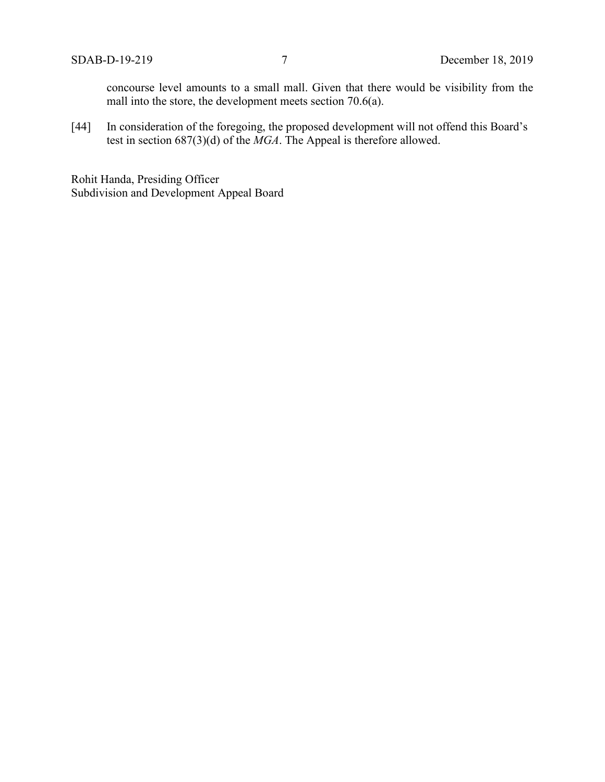concourse level amounts to a small mall. Given that there would be visibility from the mall into the store, the development meets section 70.6(a).

[44] In consideration of the foregoing, the proposed development will not offend this Board's test in section 687(3)(d) of the *MGA*. The Appeal is therefore allowed.

Rohit Handa, Presiding Officer Subdivision and Development Appeal Board